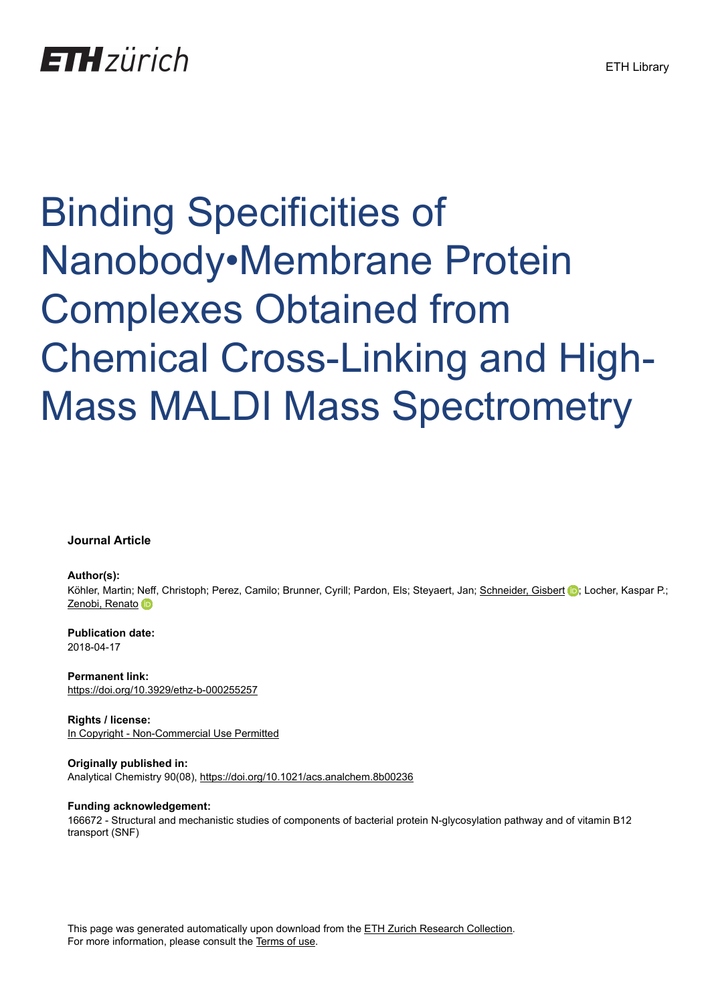# Binding Specificities of Nanobody•Membrane Protein Complexes Obtained from Chemical Cross-Linking and High-Mass MALDI Mass Spectrometry

**Journal Article**

**Author(s):**

Köhler, Martin; Neff, Christoph; Perez, Camilo; Brunner, Cyrill; Pardon, Els; Steyaert, Jan; [Schneider, Gisbert](https://orcid.org/0000-0001-6706-1084) D; Locher, Kaspar P.; [Zenobi, Renato](https://orcid.org/0000-0001-5211-4358)

**Publication date:** 2018-04-17

**Permanent link:** <https://doi.org/10.3929/ethz-b-000255257>

**Rights / license:** [In Copyright - Non-Commercial Use Permitted](http://rightsstatements.org/page/InC-NC/1.0/)

**Originally published in:** Analytical Chemistry 90(08), <https://doi.org/10.1021/acs.analchem.8b00236>

#### **Funding acknowledgement:**

166672 - Structural and mechanistic studies of components of bacterial protein N-glycosylation pathway and of vitamin B12 transport (SNF)

This page was generated automatically upon download from the [ETH Zurich Research Collection.](https://www.research-collection.ethz.ch) For more information, please consult the [Terms of use](https://www.research-collection.ethz.ch/terms-of-use).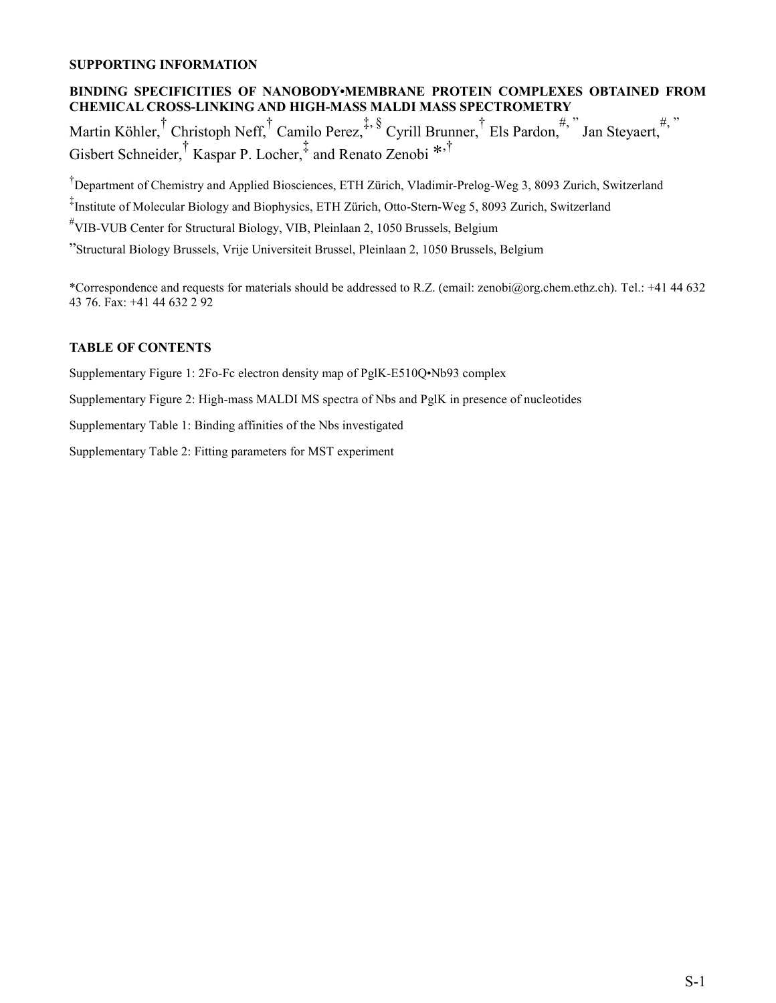### **SUPPORTING INFORMATION**

## **BINDING SPECIFICITIES OF NANOBODY•MEMBRANE PROTEIN COMPLEXES OBTAINED FROM CHEMICAL CROSS-LINKING AND HIGH-MASS MALDI MASS SPECTROMETRY**

Martin Köhler, TChristoph Neff, TCamilo Perez,  $\overset{\ddagger}{\ast}, \overset{\text{6}}{\text{C}}$ Cyrill Brunner, TEls Pardon,  $^{\#},$  "Jan Steyaert,  $^{\#},$  " Gisbert Schneider, <sup>†</sup> Kaspar P. Locher, ‡and Renato Zenobi \*<sup>,†</sup>

† Department of Chemistry and Applied Biosciences, ETH Zürich, Vladimir-Prelog-Weg 3, 8093 Zurich, Switzerland

‡ Institute of Molecular Biology and Biophysics, ETH Zürich, Otto-Stern-Weg 5, 8093 Zurich, Switzerland

# VIB-VUB Center for Structural Biology, VIB, Pleinlaan 2, 1050 Brussels, Belgium

"Structural Biology Brussels, Vrije Universiteit Brussel, Pleinlaan 2, 1050 Brussels, Belgium

\*Correspondence and requests for materials should be addressed to R.Z. (email: zenobi@org.chem.ethz.ch). Tel.: +41 44 632 43 76. Fax: +41 44 632 2 92

## **TABLE OF CONTENTS**

Supplementary Figure 1: 2Fo-Fc electron density map of PglK-E510Q•Nb93 complex

Supplementary Figure 2: High-mass MALDI MS spectra of Nbs and PglK in presence of nucleotides

Supplementary Table 1: Binding affinities of the Nbs investigated

Supplementary Table 2: Fitting parameters for MST experiment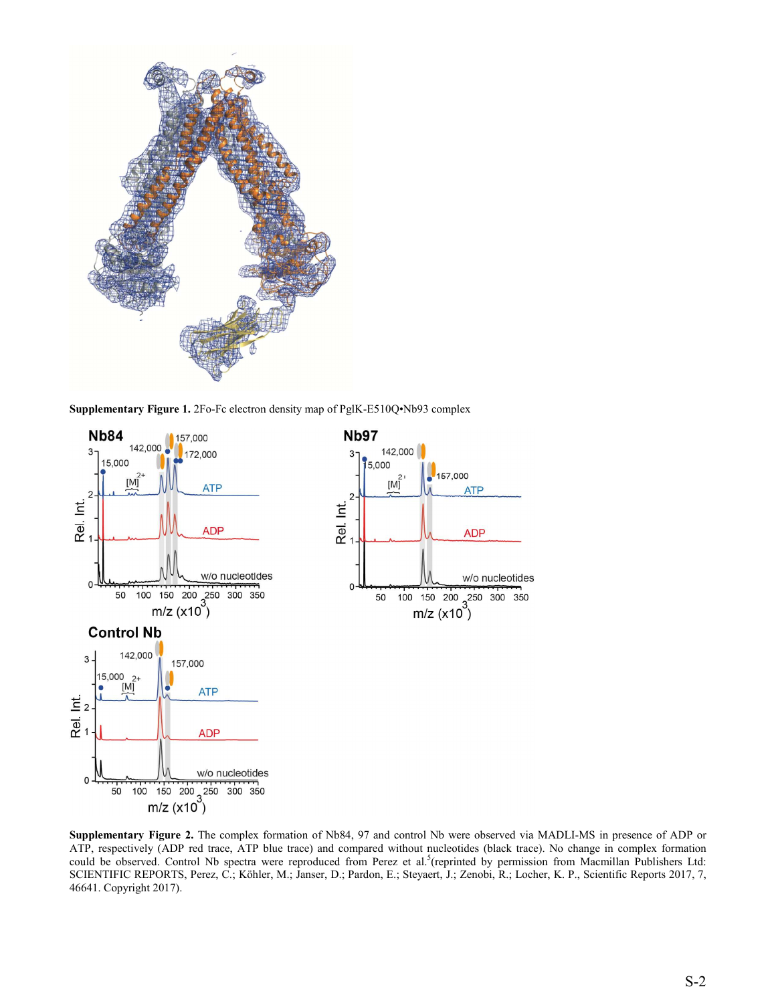

**Supplementary Figure 1.** 2Fo-Fc electron density map of PglK-E510Q•Nb93 complex



**Supplementary Figure 2.** The complex formation of Nb84, 97 and control Nb were observed via MADLI-MS in presence of ADP or ATP, respectively (ADP red trace, ATP blue trace) and compared without nucleotides (black trace). No change in complex formation could be observed. Control Nb spectra were reproduced from Perez et al.<sup>5</sup> (reprinted by permission from Macmillan Publishers Ltd: SCIENTIFIC REPORTS, Perez, C.; Köhler, M.; Janser, D.; Pardon, E.; Steyaert, J.; Zenobi, R.; Locher, K. P., Scientific Reports 2017, 7, 46641. Copyright 2017).